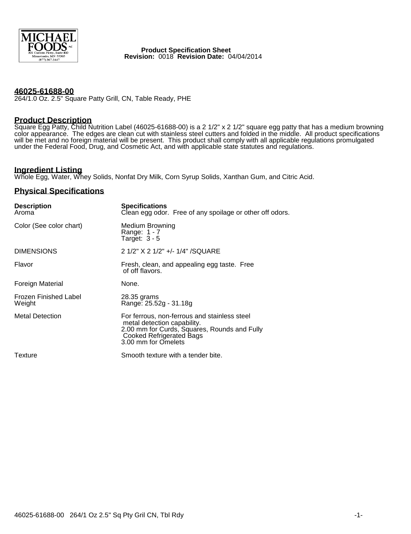

 **Product Specification Sheet Revision:** 0018 **Revision Date:** 04/04/2014

#### **46025-61688-00**

264/1.0 Oz. 2.5" Square Patty Grill, CN, Table Ready, PHE

# **Product Description**

Square Egg Patty, Child Nutrition Label (46025-61688-00) is a 2 1/2" x 2 1/2" square egg patty that has a medium browning color appearance. The edges are clean cut with stainless steel cutters and folded in the middle. All product specifications will be met and no foreign material will be present. This product shall comply with all applicable regulations promulgated under the Federal Food, Drug, and Cosmetic Act, and with applicable state statutes and regulations.

# **Ingredient Listing**

Whole Egg, Water, Whey Solids, Nonfat Dry Milk, Corn Syrup Solids, Xanthan Gum, and Citric Acid.

### **Physical Specifications**

| <b>Description</b><br>Aroma            | <b>Specifications</b><br>Clean egg odor. Free of any spoilage or other off odors.                                                                                                     |
|----------------------------------------|---------------------------------------------------------------------------------------------------------------------------------------------------------------------------------------|
| Color (See color chart)                | Medium Browning<br>Range: 1 - 7<br>Target: $3 - 5$                                                                                                                                    |
| <b>DIMENSIONS</b>                      | 2 1/2" X 2 1/2" +/- 1/4" /SQUARE                                                                                                                                                      |
| Flavor                                 | Fresh, clean, and appealing egg taste. Free<br>of off flavors.                                                                                                                        |
| Foreign Material                       | None.                                                                                                                                                                                 |
| <b>Frozen Finished Label</b><br>Weight | 28.35 grams<br>Range: 25.52g - 31.18g                                                                                                                                                 |
| <b>Metal Detection</b>                 | For ferrous, non-ferrous and stainless steel<br>metal detection capability.<br>2.00 mm for Curds, Squares, Rounds and Fully<br><b>Cooked Refrigerated Bags</b><br>3.00 mm for Omelets |
| Texture                                | Smooth texture with a tender bite.                                                                                                                                                    |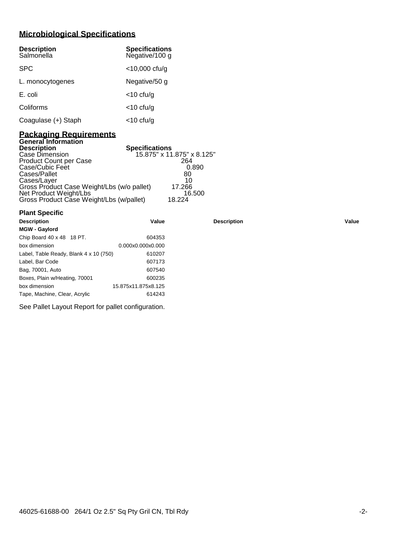# **Microbiological Specifications**

| <b>Description</b><br>Salmonella | <b>Specifications</b><br>Negative/100 g |
|----------------------------------|-----------------------------------------|
| <b>SPC</b>                       | $<$ 10,000 cfu/g                        |
| L. monocytogenes                 | Negative/50 g                           |
| E. coli                          | $<$ 10 cfu/g                            |
| Coliforms                        | $<$ 10 cfu/g                            |
| Coagulase (+) Staph              | $<$ 10 cfu/g                            |

### **Packaging Requirements General Information**

| <b>Description</b>                         | <b>Specifications</b>      |
|--------------------------------------------|----------------------------|
| Case Dimension                             | 15.875" x 11.875" x 8.125" |
| <b>Product Count per Case</b>              | 264                        |
| Case/Cubic Feet                            | 0.890                      |
| Cases/Pallet                               | 80                         |
| Cases/Layer                                | 10                         |
| Gross Product Case Weight/Lbs (w/o pallet) | 17.266                     |
| Net Product Weight/Lbs                     | 16.500                     |
| Gross Product Case Weight/Lbs (w/pallet)   | 18.224                     |

| <b>Plant Specific</b>                  |                     |                    |       |
|----------------------------------------|---------------------|--------------------|-------|
| <b>Description</b>                     | Value               | <b>Description</b> | Value |
| <b>MGW - Gaylord</b>                   |                     |                    |       |
| Chip Board 40 x 48 18 PT.              | 604353              |                    |       |
| box dimension                          | 0.000x0.000x0.000   |                    |       |
| Label, Table Ready, Blank 4 x 10 (750) | 610207              |                    |       |
| Label, Bar Code                        | 607173              |                    |       |
| Bag, 70001, Auto                       | 607540              |                    |       |
| Boxes, Plain w/Heating, 70001          | 600235              |                    |       |
| box dimension                          | 15.875x11.875x8.125 |                    |       |
| Tape, Machine, Clear, Acrylic          | 614243              |                    |       |

See Pallet Layout Report for pallet configuration.